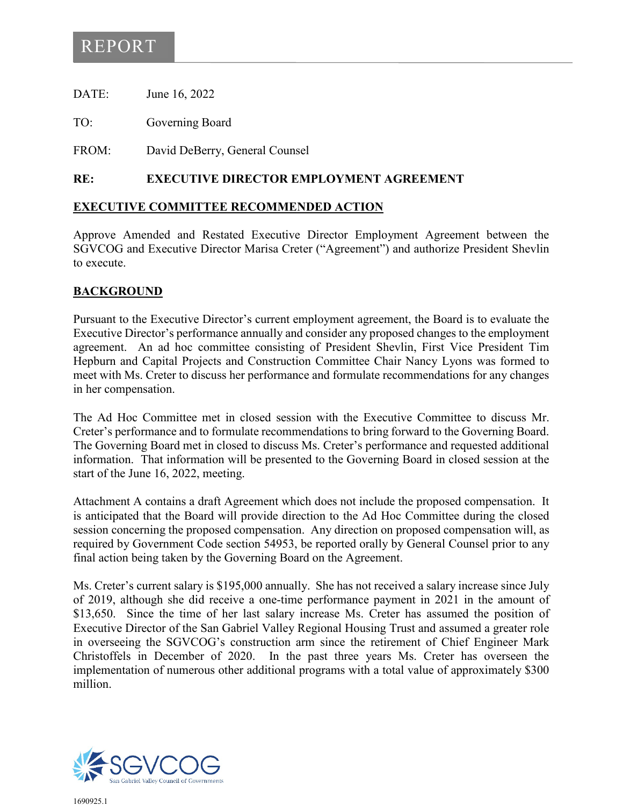# REPORT

DATE: June 16, 2022

TO: Governing Board

FROM: David DeBerry, General Counsel

#### **RE: EXECUTIVE DIRECTOR EMPLOYMENT AGREEMENT**

#### **EXECUTIVE COMMITTEE RECOMMENDED ACTION**

Approve Amended and Restated Executive Director Employment Agreement between the SGVCOG and Executive Director Marisa Creter ("Agreement") and authorize President Shevlin to execute.

#### **BACKGROUND**

Pursuant to the Executive Director's current employment agreement, the Board is to evaluate the Executive Director's performance annually and consider any proposed changes to the employment agreement. An ad hoc committee consisting of President Shevlin, First Vice President Tim Hepburn and Capital Projects and Construction Committee Chair Nancy Lyons was formed to meet with Ms. Creter to discuss her performance and formulate recommendations for any changes in her compensation.

The Ad Hoc Committee met in closed session with the Executive Committee to discuss Mr. Creter's performance and to formulate recommendations to bring forward to the Governing Board. The Governing Board met in closed to discuss Ms. Creter's performance and requested additional information. That information will be presented to the Governing Board in closed session at the start of the June 16, 2022, meeting.

Attachment A contains a draft Agreement which does not include the proposed compensation. It is anticipated that the Board will provide direction to the Ad Hoc Committee during the closed session concerning the proposed compensation. Any direction on proposed compensation will, as required by Government Code section 54953, be reported orally by General Counsel prior to any final action being taken by the Governing Board on the Agreement.

Ms. Creter's current salary is \$195,000 annually. She has not received a salary increase since July of 2019, although she did receive a one-time performance payment in 2021 in the amount of \$13,650. Since the time of her last salary increase Ms. Creter has assumed the position of Executive Director of the San Gabriel Valley Regional Housing Trust and assumed a greater role in overseeing the SGVCOG's construction arm since the retirement of Chief Engineer Mark Christoffels in December of 2020. In the past three years Ms. Creter has overseen the implementation of numerous other additional programs with a total value of approximately \$300 million.



1690925.1